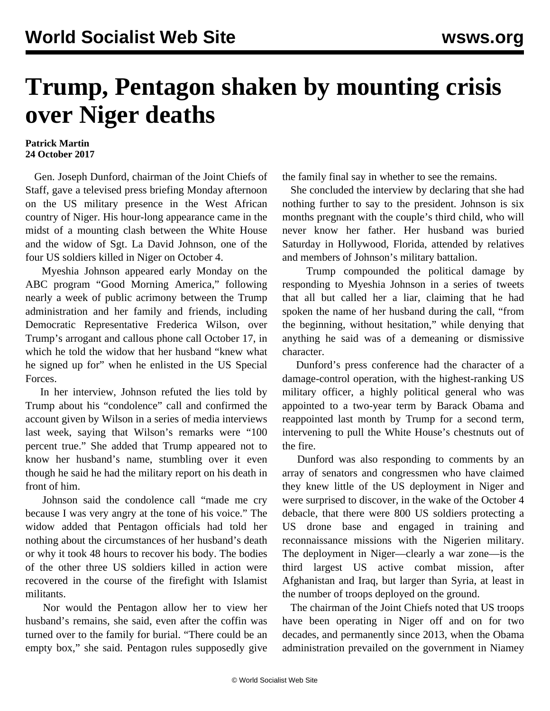## **Trump, Pentagon shaken by mounting crisis over Niger deaths**

## **Patrick Martin 24 October 2017**

 Gen. Joseph Dunford, chairman of the Joint Chiefs of Staff, gave a televised press briefing Monday afternoon on the US military presence in the West African country of Niger. His hour-long appearance came in the midst of a mounting clash between the White House and the widow of Sgt. La David Johnson, one of the four US soldiers killed in Niger on October 4.

 Myeshia Johnson appeared early Monday on the ABC program "Good Morning America," following nearly a week of public acrimony between the Trump administration and her family and friends, including Democratic Representative Frederica Wilson, over Trump's arrogant and callous phone call October 17, in which he told the widow that her husband "knew what he signed up for" when he enlisted in the US Special Forces.

 In her interview, Johnson refuted the lies told by Trump about his "condolence" call and confirmed the account given by Wilson in a series of media interviews last week, saying that Wilson's remarks were "100 percent true." She added that Trump appeared not to know her husband's name, stumbling over it even though he said he had the military report on his death in front of him.

 Johnson said the condolence call "made me cry because I was very angry at the tone of his voice." The widow added that Pentagon officials had told her nothing about the circumstances of her husband's death or why it took 48 hours to recover his body. The bodies of the other three US soldiers killed in action were recovered in the course of the firefight with Islamist militants.

 Nor would the Pentagon allow her to view her husband's remains, she said, even after the coffin was turned over to the family for burial. "There could be an empty box," she said. Pentagon rules supposedly give

the family final say in whether to see the remains.

 She concluded the interview by declaring that she had nothing further to say to the president. Johnson is six months pregnant with the couple's third child, who will never know her father. Her husband was buried Saturday in Hollywood, Florida, attended by relatives and members of Johnson's military battalion.

 Trump compounded the political damage by responding to Myeshia Johnson in a series of tweets that all but called her a liar, claiming that he had spoken the name of her husband during the call, "from the beginning, without hesitation," while denying that anything he said was of a demeaning or dismissive character.

 Dunford's press conference had the character of a damage-control operation, with the highest-ranking US military officer, a highly political general who was appointed to a two-year term by Barack Obama and reappointed last month by Trump for a second term, intervening to pull the White House's chestnuts out of the fire.

 Dunford was also responding to comments by an array of senators and congressmen who have claimed they knew little of the US deployment in Niger and were surprised to discover, in the wake of the October 4 debacle, that there were 800 US soldiers protecting a US drone base and engaged in training and reconnaissance missions with the Nigerien military. The deployment in Niger—clearly a war zone—is the third largest US active combat mission, after Afghanistan and Iraq, but larger than Syria, at least in the number of troops deployed on the ground.

 The chairman of the Joint Chiefs noted that US troops have been operating in Niger off and on for two decades, and permanently since 2013, when the Obama administration prevailed on the government in Niamey